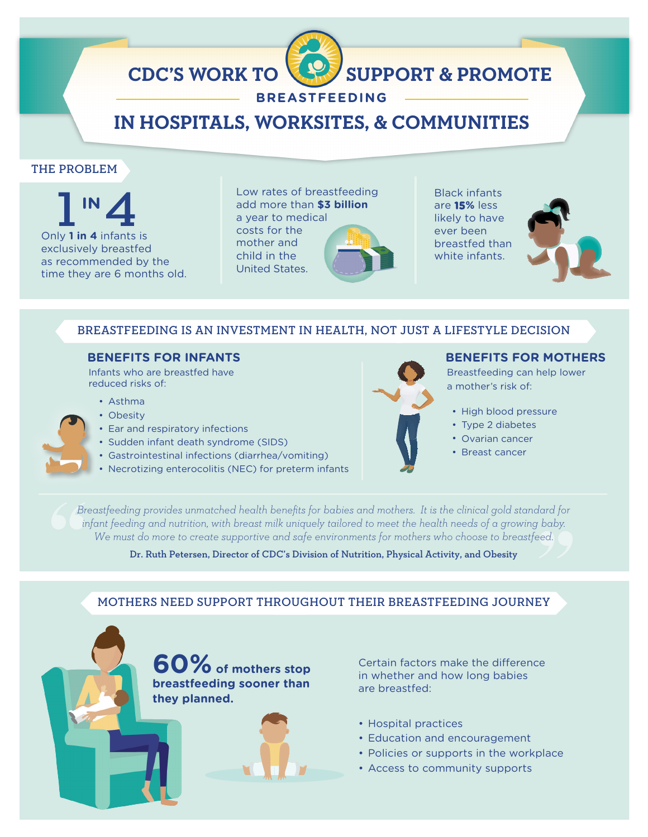# **CDC'S WORK TO SUPPORT & PROMOTE**

# **BREASTFEEDING**

# **IN HOSPITALS, WORKSITES, & COMMUNITIES**

# THE PROBLEM

**1 IN 4**<br>Only **1 in 4** infants is exclusively breastfed as recommended by the time they are 6 months old. Low rates of breastfeeding add more than **\$3 billion** a year to medical costs for the mother and child in the United States.

Black infants are **15%** less likely to have ever been breastfed than white infants.



### BREASTFEEDING IS AN INVESTMENT IN HEALTH, NOT JUST A LIFESTYLE DECISION

## **BENEFITS FOR INFANTS**

 Infants who are breastfed have reduced risks of:

- Asthma
- Obesity
- Ear and respiratory infections
- Sudden infant death syndrome (SIDS)
- Gastrointestinal infections (diarrhea/vomiting)
- [Necrotizing enterocolitis \(NEC\) for preterm infants](https://medlineplus.gov/ency/article/001148.htm)



#### **BENEFITS FOR MOTHERS**

 Breastfeeding can help lower a mother's risk of:

- High blood pressure
- Type 2 diabetes
- Ovarian cancer
- Breast cancer

*Breastfeeding provides unmatched health benefits for babies and mothers. It is the clinical gold standard for infant feeding and nutrition, with breast milk uniquely tailored to meet the health needs of a growing baby. We must do more to create supportive and safe environments for mothers who choose to breastfeed.* 

Dr. Ruth Petersen, Director of CDC's Division of Nutrition, Physical Activity, and Obesity

# MOTHERS NEED SUPPORT THROUGHOUT THEIR BREASTFEEDING JOURNEY

**60% of mothers stop breastfeeding sooner than they planned.**



Certain factors make the difference in whether and how long babies are breastfed:

- Hospital practices
- Education and encouragement
- Policies or supports in the workplace
- Access to community supports